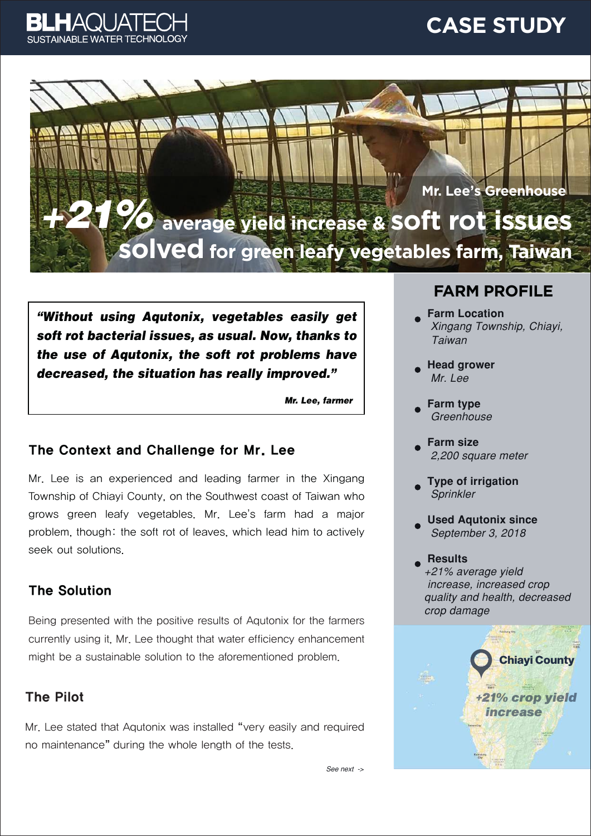

## **CASE STUDY**

**average yield increase & soft rot issues solved for green leafy vegetables farm, Taiwan Mr. Lee's Greenhouse**  +21%

"Without using Aqutonix, vegetables easily get soft rot bacterial issues, as usual. Now, thanks to the use of Aqutonix, the soft rot problems have decreased, the situation has really improved."

Mr. Lee, farmer

#### The Context and Challenge for Mr. Lee

Mr. Lee is an experienced and leading farmer in the Xingang Township of Chiayi County, on the Southwest coast of Taiwan who grows green leafy vegetables. Mr. Lee's farm had a major problem, though: the soft rot of leaves, which lead him to actively seek out solutions.

#### The Solution

Being presented with the positive results of Aqutonix for the farmers currently using it, Mr. Lee thought that water efficiency enhancement might be a sustainable solution to the aforementioned problem.

#### The Pilot

Mr. Lee stated that Aqutonix was installed "very easily and required no maintenance" during the whole length of the tests.

### **FARM PROFILE**

- **Farm Location** Xingang Township, Chiayi, **Taiwan**
- **Head grower** Mr. Lee
- **Farm type** Greenhouse
- **Farm size** 2,200 square meter
- **Type of irrigation** Sprinkler
- **Used Aqutonix since** September 3, 2018
- **Results** +21% average vield increase, increased crop quality and health, decreased crop damage



See next ->